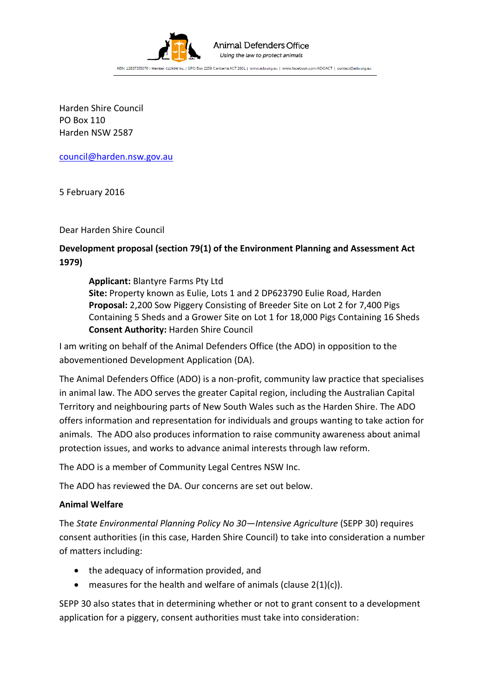

#### Animal Defenders Office Using the law to protect animals

ABN: 12837355070 | Member: CLCNSW Inc. | GPO Box 2259 Canberra ACT 2601 | www.ado.org.au | www.facebook.com/ADOACT | contact@ado.org.au

Harden Shire Council PO Box 110 Harden NSW 2587

[council@harden.nsw.gov.au](mailto:council@harden.nsw.gov.au)

5 February 2016

Dear Harden Shire Council

# **Development proposal (section 79(1) of the Environment Planning and Assessment Act 1979)**

**Applicant:** Blantyre Farms Pty Ltd **Site:** Property known as Eulie, Lots 1 and 2 DP623790 Eulie Road, Harden **Proposal:** 2,200 Sow Piggery Consisting of Breeder Site on Lot 2 for 7,400 Pigs Containing 5 Sheds and a Grower Site on Lot 1 for 18,000 Pigs Containing 16 Sheds **Consent Authority:** Harden Shire Council

I am writing on behalf of the Animal Defenders Office (the ADO) in opposition to the abovementioned Development Application (DA).

The Animal Defenders Office (ADO) is a non-profit, community law practice that specialises in animal law. The ADO serves the greater Capital region, including the Australian Capital Territory and neighbouring parts of New South Wales such as the Harden Shire. The ADO offers information and representation for individuals and groups wanting to take action for animals. The ADO also produces information to raise community awareness about animal protection issues, and works to advance animal interests through law reform.

The ADO is a member of Community Legal Centres NSW Inc.

The ADO has reviewed the DA. Our concerns are set out below.

# **Animal Welfare**

The *State Environmental Planning Policy No 30—Intensive Agriculture* (SEPP 30) requires consent authorities (in this case, Harden Shire Council) to take into consideration a number of matters including:

- the adequacy of information provided, and
- $\bullet$  measures for the health and welfare of animals (clause 2(1)(c)).

SEPP 30 also states that in determining whether or not to grant consent to a development application for a piggery, consent authorities must take into consideration: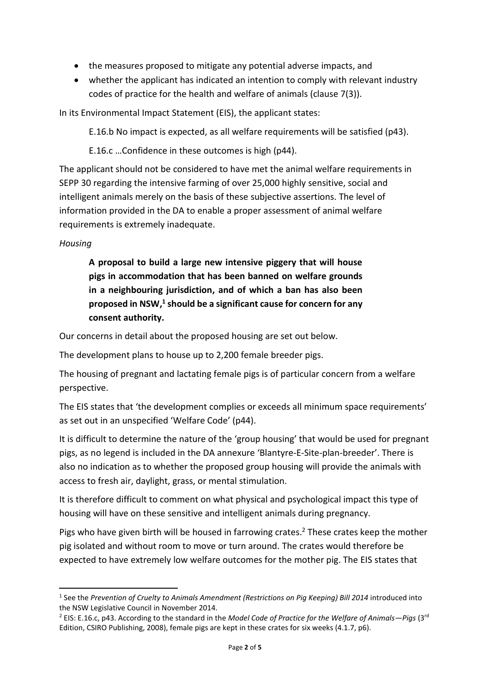- the measures proposed to mitigate any potential adverse impacts, and
- whether the applicant has indicated an intention to comply with relevant industry codes of practice for the health and welfare of animals (clause 7(3)).

In its Environmental Impact Statement (EIS), the applicant states:

E.16.b No impact is expected, as all welfare requirements will be satisfied (p43).

E.16.c …Confidence in these outcomes is high (p44).

The applicant should not be considered to have met the animal welfare requirements in SEPP 30 regarding the intensive farming of over 25,000 highly sensitive, social and intelligent animals merely on the basis of these subjective assertions. The level of information provided in the DA to enable a proper assessment of animal welfare requirements is extremely inadequate.

## *Housing*

**.** 

**A proposal to build a large new intensive piggery that will house pigs in accommodation that has been banned on welfare grounds in a neighbouring jurisdiction, and of which a ban has also been**  proposed in NSW,<sup>1</sup> should be a significant cause for concern for any **consent authority.**

Our concerns in detail about the proposed housing are set out below.

The development plans to house up to 2,200 female breeder pigs.

The housing of pregnant and lactating female pigs is of particular concern from a welfare perspective.

The EIS states that 'the development complies or exceeds all minimum space requirements' as set out in an unspecified 'Welfare Code' (p44).

It is difficult to determine the nature of the 'group housing' that would be used for pregnant pigs, as no legend is included in the DA annexure 'Blantyre-E-Site-plan-breeder'. There is also no indication as to whether the proposed group housing will provide the animals with access to fresh air, daylight, grass, or mental stimulation.

It is therefore difficult to comment on what physical and psychological impact this type of housing will have on these sensitive and intelligent animals during pregnancy.

Pigs who have given birth will be housed in farrowing crates.<sup>2</sup> These crates keep the mother pig isolated and without room to move or turn around. The crates would therefore be expected to have extremely low welfare outcomes for the mother pig. The EIS states that

<sup>&</sup>lt;sup>1</sup> See the Prevention of Cruelty to Animals Amendment (Restrictions on Pig Keeping) Bill 2014 introduced into the NSW Legislative Council in November 2014.

<sup>2</sup> EIS: E.16.c, p43. According to the standard in the *Model Code of Practice for the Welfare of Animals—Pigs* (3rd Edition, CSIRO Publishing, 2008), female pigs are kept in these crates for six weeks (4.1.7, p6).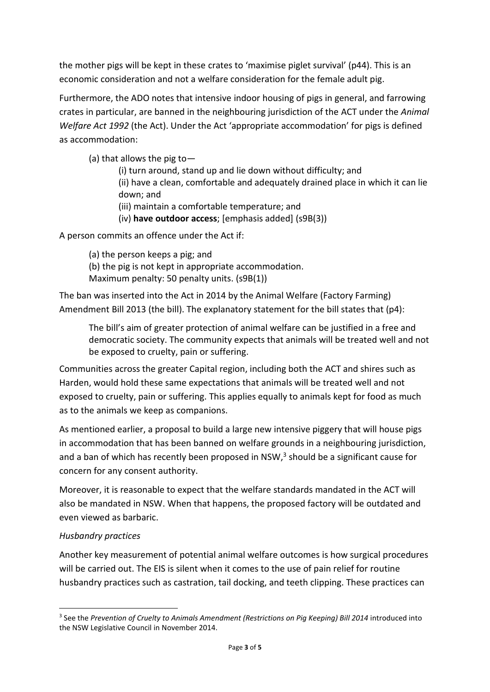the mother pigs will be kept in these crates to 'maximise piglet survival' (p44). This is an economic consideration and not a welfare consideration for the female adult pig.

Furthermore, the ADO notes that intensive indoor housing of pigs in general, and farrowing crates in particular, are banned in the neighbouring jurisdiction of the ACT under the *Animal Welfare Act 1992* (the Act). Under the Act 'appropriate accommodation' for pigs is defined as accommodation:

(a) that allows the pig to—

(i) turn around, stand up and lie down without difficulty; and (ii) have a clean, comfortable and adequately drained place in which it can lie down; and

- (iii) maintain a comfortable temperature; and
- (iv) **have outdoor access**; [emphasis added] (s9B(3))

A person commits an offence under the Act if:

(a) the person keeps a pig; and

(b) the pig is not kept in appropriate accommodation.

Maximum penalty: 50 penalty units. (s9B(1))

The ban was inserted into the Act in 2014 by the Animal Welfare (Factory Farming) Amendment Bill 2013 (the bill). The explanatory statement for the bill states that (p4):

The bill's aim of greater protection of animal welfare can be justified in a free and democratic society. The community expects that animals will be treated well and not be exposed to cruelty, pain or suffering.

Communities across the greater Capital region, including both the ACT and shires such as Harden, would hold these same expectations that animals will be treated well and not exposed to cruelty, pain or suffering. This applies equally to animals kept for food as much as to the animals we keep as companions.

As mentioned earlier, a proposal to build a large new intensive piggery that will house pigs in accommodation that has been banned on welfare grounds in a neighbouring jurisdiction, and a ban of which has recently been proposed in NSW, $3$  should be a significant cause for concern for any consent authority.

Moreover, it is reasonable to expect that the welfare standards mandated in the ACT will also be mandated in NSW. When that happens, the proposed factory will be outdated and even viewed as barbaric.

### *Husbandry practices*

**.** 

Another key measurement of potential animal welfare outcomes is how surgical procedures will be carried out. The EIS is silent when it comes to the use of pain relief for routine husbandry practices such as castration, tail docking, and teeth clipping. These practices can

<sup>3</sup> See the *Prevention of Cruelty to Animals Amendment (Restrictions on Pig Keeping) Bill 2014* introduced into the NSW Legislative Council in November 2014.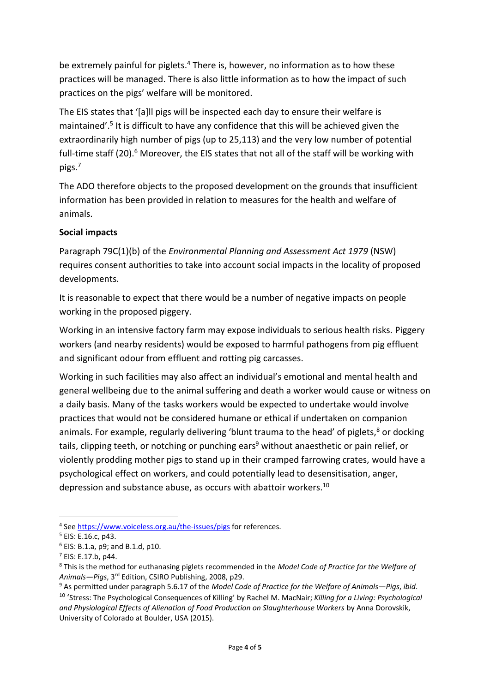be extremely painful for piglets.<sup>4</sup> There is, however, no information as to how these practices will be managed. There is also little information as to how the impact of such practices on the pigs' welfare will be monitored.

The EIS states that '[a]ll pigs will be inspected each day to ensure their welfare is maintained'.<sup>5</sup> It is difficult to have any confidence that this will be achieved given the extraordinarily high number of pigs (up to 25,113) and the very low number of potential full-time staff (20).<sup>6</sup> Moreover, the EIS states that not all of the staff will be working with pigs.<sup>7</sup>

The ADO therefore objects to the proposed development on the grounds that insufficient information has been provided in relation to measures for the health and welfare of animals.

### **Social impacts**

Paragraph 79C(1)(b) of the *Environmental Planning and Assessment Act 1979* (NSW) requires consent authorities to take into account social impacts in the locality of proposed developments.

It is reasonable to expect that there would be a number of negative impacts on people working in the proposed piggery.

Working in an intensive factory farm may expose individuals to serious health risks. Piggery workers (and nearby residents) would be exposed to harmful pathogens from pig effluent and significant odour from effluent and rotting pig carcasses.

Working in such facilities may also affect an individual's emotional and mental health and general wellbeing due to the animal suffering and death a worker would cause or witness on a daily basis. Many of the tasks workers would be expected to undertake would involve practices that would not be considered humane or ethical if undertaken on companion animals. For example, regularly delivering 'blunt trauma to the head' of piglets, $8$  or docking tails, clipping teeth, or notching or punching ears <sup>9</sup> without anaesthetic or pain relief, or violently prodding mother pigs to stand up in their cramped farrowing crates, would have a psychological effect on workers, and could potentially lead to desensitisation, anger, depression and substance abuse, as occurs with abattoir workers.<sup>10</sup>

**.** 

<sup>&</sup>lt;sup>4</sup> See<https://www.voiceless.org.au/the-issues/pigs> for references.

<sup>5</sup> EIS: E.16.c, p43.

<sup>6</sup> EIS: B.1.a, p9; and B.1.d, p10.

 $7$  EIS: E.17.b, p44.

<sup>8</sup> This is the method for euthanasing piglets recommended in the *Model Code of Practice for the Welfare of Animals—Pigs*, 3rd Edition, CSIRO Publishing, 2008, p29.

<sup>9</sup> As permitted under paragraph 5.6.17 of the *Model Code of Practice for the Welfare of Animals—Pigs*, *ibid*.

<sup>10</sup> 'Stress: The Psychological Consequences of Killing' by Rachel M. MacNair; *Killing for a Living: Psychological and Physiological Effects of Alienation of Food Production on Slaughterhouse Workers* by Anna Dorovskik, University of Colorado at Boulder, USA (2015).